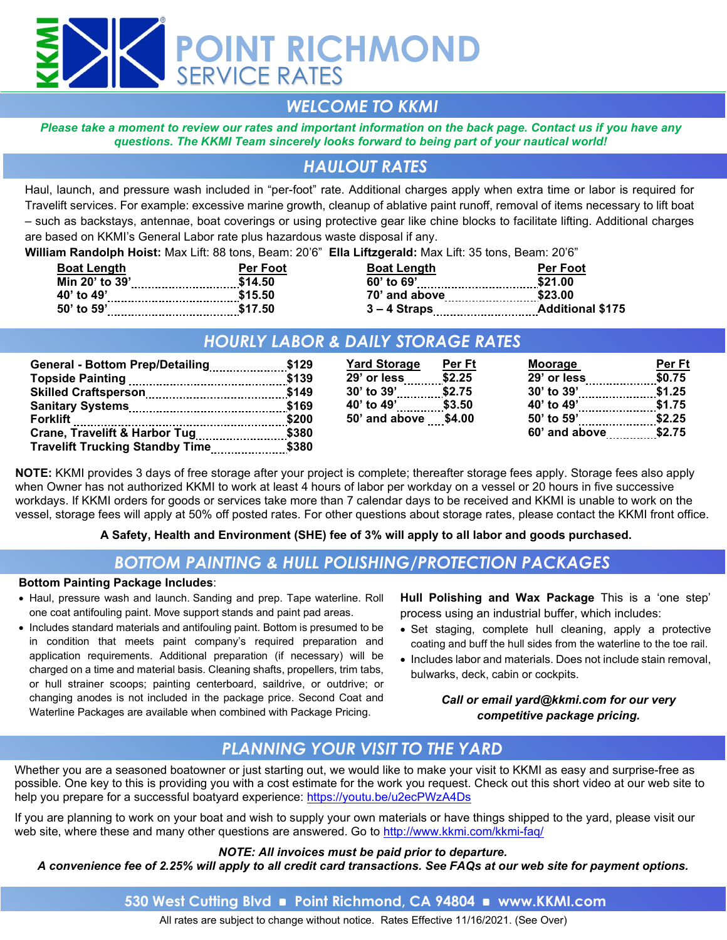

# *WELCOME TO KKMI*

*Please take a moment to review our rates and important information on the back page. Contact us if you have any questions. The KKMI Team sincerely looks forward to being part of your nautical world!*

## *HAULOUT RATES*

Haul, launch, and pressure wash included in "per-foot" rate. Additional charges apply when extra time or labor is required for Travelift services. For example: excessive marine growth, cleanup of ablative paint runoff, removal of items necessary to lift boat – such as backstays, antennae, boat coverings or using protective gear like chine blocks to facilitate lifting. Additional charges are based on KKMI's General Labor rate plus hazardous waste disposal if any.

**William Randolph Hoist:** Max Lift: 88 tons, Beam: 20'6" **Ella Liftzgerald:** Max Lift: 35 tons, Beam: 20'6"

| <b>Boat Length</b> | <b>Per Foot</b> | <b>Boat Length</b> | Per Foot                |
|--------------------|-----------------|--------------------|-------------------------|
| Min 20' to 39'     | \$14.50         | 60' to 69'         | \$21.00                 |
| 40' to 49'         | \$15.50         | 70' and above      | \$23.00                 |
| 50' to 59'         | \$17.50         | $3 - 4$ Straps     | <b>Additional \$175</b> |
|                    |                 |                    |                         |

## *HOURLY LABOR & DAILY STORAGE RATES*

| General - Bottom Prep/Detailing\$129     |       | <b>Yard Storage</b>  | <b>Per Ft</b> | Moorage        | Per Ft |
|------------------------------------------|-------|----------------------|---------------|----------------|--------|
|                                          | \$139 | 29' or less          | \$2.25        | 29' or less    | \$0.75 |
|                                          | \$149 | 30' to 39' \$2.75    |               | $30'$ to $39'$ | \$1.25 |
|                                          | \$169 | 40' to 49'           | \$3.50        |                | \$1.75 |
| Forklift                                 | \$200 | 50' and above \$4.00 |               | 50' to 59'     | \$2.25 |
| <b>Crane, Travelift &amp; Harbor Tug</b> | \$380 |                      |               | 60' and above  | \$2.75 |
| <b>Travelift Trucking Standby Time</b>   | \$380 |                      |               |                |        |

**NOTE:** KKMI provides 3 days of free storage after your project is complete; thereafter storage fees apply. Storage fees also apply when Owner has not authorized KKMI to work at least 4 hours of labor per workday on a vessel or 20 hours in five successive workdays. If KKMI orders for goods or services take more than 7 calendar days to be received and KKMI is unable to work on the vessel, storage fees will apply at 50% off posted rates. For other questions about storage rates, please contact the KKMI front office.

**A Safety, Health and Environment (SHE) fee of 3% will apply to all labor and goods purchased.**

#### *BOTTOM PAINTING & HULL POLISHING/PROTECTION PACKAGES*

#### **Bottom Painting Package Includes**:

- Haul, pressure wash and launch. Sanding and prep. Tape waterline. Roll one coat antifouling paint. Move support stands and paint pad areas.
- Includes standard materials and antifouling paint. Bottom is presumed to be in condition that meets paint company's required preparation and application requirements. Additional preparation (if necessary) will be charged on a time and material basis. Cleaning shafts, propellers, trim tabs, or hull strainer scoops; painting centerboard, saildrive, or outdrive; or changing anodes is not included in the package price. Second Coat and Waterline Packages are available when combined with Package Pricing.

**Hull Polishing and Wax Package** This is a 'one step' process using an industrial buffer, which includes:

- Set staging, complete hull cleaning, apply a protective coating and buff the hull sides from the waterline to the toe rail.
- Includes labor and materials. Does not include stain removal, bulwarks, deck, cabin or cockpits.

#### *Call or email yard@kkmi.com for our very competitive package pricing.*

## *PLANNING YOUR VISIT TO THE YARD*

Whether you are a seasoned boatowner or just starting out, we would like to make your visit to KKMI as easy and surprise-free as possible. One key to this is providing you with a cost estimate for the work you request. Check out this short video at our web site to help you prepare for a successful boatyard experience:<https://youtu.be/u2ecPWzA4Ds>

If you are planning to work on your boat and wish to supply your own materials or have things shipped to the yard, please visit our web site, where these and many other questions are answered. Go to <http://www.kkmi.com/kkmi-faq/>

#### *NOTE: All invoices must be paid prior to departure.*

*A convenience fee of 2.25% will apply to all credit card transactions. See FAQs at our web site for payment options.*

## **530 West Cutting Blvd Point Richmond, CA 94804 www.KKMI.com**

All rates are subject to change without notice. Rates Effective 11/16/2021. (See Over)